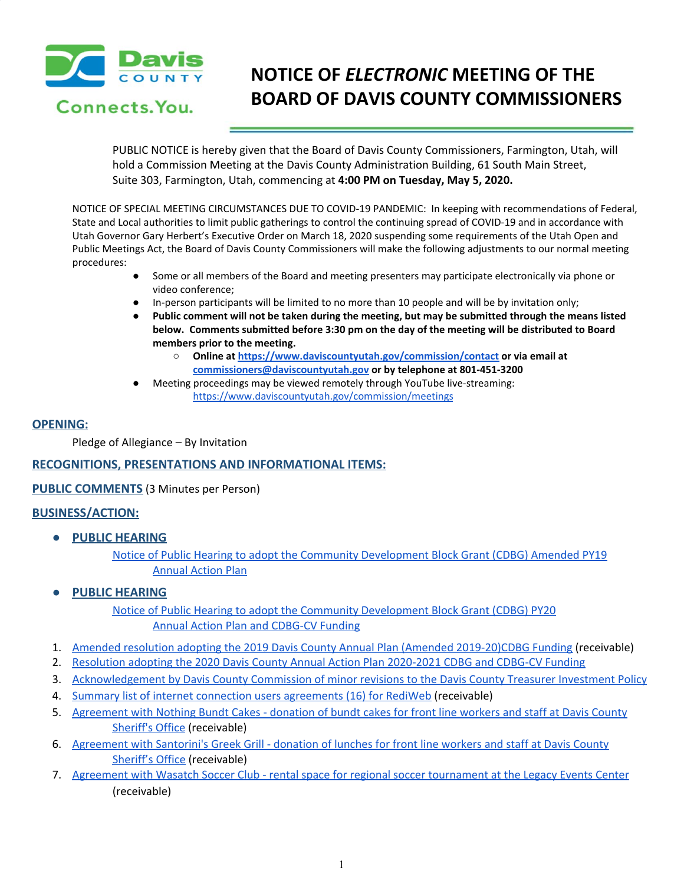

Connects, You.

# **NOTICE OF** *ELECTRONIC* **MEETING OF THE BOARD OF DAVIS COUNTY COMMISSIONERS**

PUBLIC NOTICE is hereby given that the Board of Davis County Commissioners, Farmington, Utah, will hold a Commission Meeting at the Davis County Administration Building, 61 South Main Street, Suite 303, Farmington, Utah, commencing at **4:00 PM on Tuesday, May 5, 2020.**

NOTICE OF SPECIAL MEETING CIRCUMSTANCES DUE TO COVID-19 PANDEMIC: In keeping with recommendations of Federal, State and Local authorities to limit public gatherings to control the continuing spread of COVID-19 and in accordance with Utah Governor Gary Herbert's Executive Order on March 18, 2020 suspending some requirements of the Utah Open and Public Meetings Act, the Board of Davis County Commissioners will make the following adjustments to our normal meeting procedures:

- Some or all members of the Board and meeting presenters may participate electronically via phone or video conference;
- In-person participants will be limited to no more than 10 people and will be by invitation only;
- Public comment will not be taken during the meeting, but may be submitted through the means listed **below. Comments submitted before 3:30 pm on the day of the meeting will be distributed to Board members prior to the meeting.**
	- **○ Online at <https://www.daviscountyutah.gov/commission/contact> or via email at [commissioners@daviscountyutah.gov](mailto:commissioners@daviscountyutah.gov) or by telephone at 801-451-3200**
- Meeting proceedings may be viewed remotely through YouTube live-streaming: <https://www.daviscountyutah.gov/commission/meetings>

## **OPENING:**

Pledge of Allegiance – By Invitation

# **RECOGNITIONS, PRESENTATIONS AND INFORMATIONAL ITEMS:**

**PUBLIC COMMENTS** (3 Minutes per Person)

# **BUSINESS/ACTION:**

**● PUBLIC HEARING**

Notice of Public Hearing to adopt the Community [Development](https://drive.google.com/file/d/1wuWJzw3nbaWNcYRaxey5CLqQU8rEL4Us/view?usp=drivesdk) Block Grant (CDBG) Amended PY19 [Annual](https://drive.google.com/file/d/1wuWJzw3nbaWNcYRaxey5CLqQU8rEL4Us/view?usp=drivesdk) Action Plan

# **● PUBLIC HEARING**

Notice of Public Hearing to adopt the Community [Development](https://drive.google.com/file/d/1wuWJzw3nbaWNcYRaxey5CLqQU8rEL4Us/view?usp=drivesdk) Block Grant (CDBG) PY20 Annual Action Plan and [CDBG-CV](https://drive.google.com/file/d/1wuWJzw3nbaWNcYRaxey5CLqQU8rEL4Us/view?usp=drivesdk) Funding

- 1. Amended resolution adopting the 2019 Davis County Annual Plan (Amended [2019-20\)CDBG](https://drive.google.com/file/d/1o2JF3bfXYR8-rTAVKD4RyNg8D6qrD3-U/view?usp=drivesdk) Funding (receivable)
- 2. Resolution adopting the 2020 Davis County Annual Action Plan [2020-2021](https://drive.google.com/file/d/1wrpn5woiEvjJMwhuzsV2aBwh4EhDcm1d/view?usp=drivesdk) CDBG and CDBG-CV Funding
- 3. [Acknowledgement](https://drive.google.com/file/d/1yLz-98j80SUwaq3AyF5aFU-0GAGAifjo/view?usp=drivesdk) by Davis County Commission of minor revisions to the Davis County Treasurer Investment Policy
- 4. Summary list of internet connection users [agreements](https://drive.google.com/file/d/1YAnnlsMGnCd9VSugjZasz-5Mqqt1ytPB/view?usp=drivesdk) (16) for RediWeb (receivable)
- 5. [Agreement](https://drive.google.com/file/d/1TDZ4Avr7HxflRHmAf5LiPIiF-Ab2XHji/view?usp=drivesdk) with Nothing Bundt Cakes donation of bundt cakes for front line workers and staff at Davis County [Sheriff's](https://drive.google.com/file/d/1TDZ4Avr7HxflRHmAf5LiPIiF-Ab2XHji/view?usp=drivesdk) Office (receivable)
- 6. [Agreement](https://drive.google.com/file/d/1JJencPmhrStfXXZUjkzFdiN7rQ8P6MCf/view?usp=drivesdk) with Santorini's Greek Grill donation of lunches for front line workers and staff at Davis County [Sheriff's](https://drive.google.com/file/d/1JJencPmhrStfXXZUjkzFdiN7rQ8P6MCf/view?usp=drivesdk) Office (receivable[\)](https://drive.google.com/file/d/1JJencPmhrStfXXZUjkzFdiN7rQ8P6MCf/view?usp=drivesdk)
- 7. Agreement with Wasatch Soccer Club rental space for regional soccer [tournament](https://drive.google.com/file/d/1OLDj0KcX0AbM67p5eFpuFAnziGaHvuRu/view?usp=drivesdk) at the Legacy Events Center (receivable)